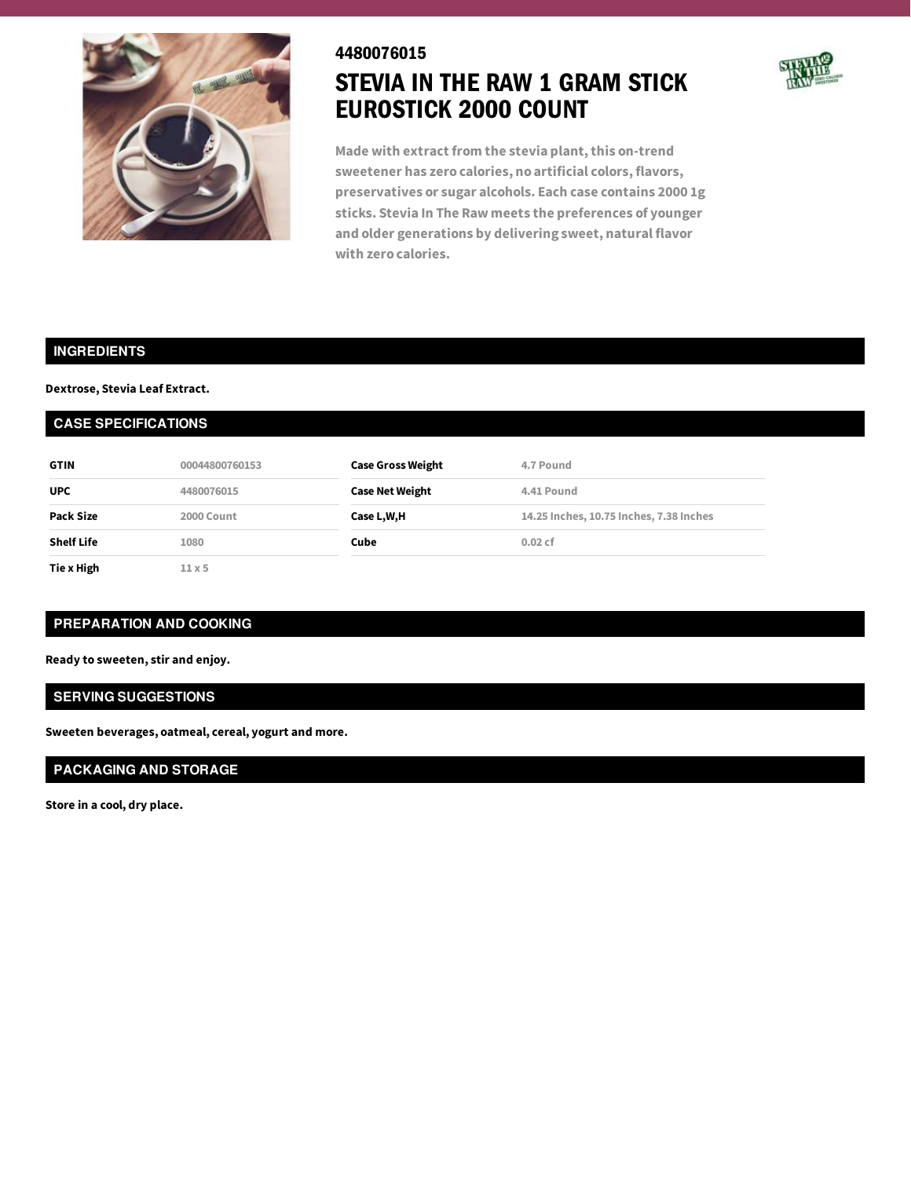

# 4480076015 STEVIA IN THE RAW 1 GRAM STICK EUROSTICK 2000 COUNT



**Made with extract from the stevia plant,this on-trend sweetener has zero calories, no artificial colors, flavors, preservatives or sugar alcohols. Each case contains 2000 1g sticks. Stevia In The Raw meets the preferences of younger and older generations by delivering sweet, natural flavor with zero calories.**

#### **INGREDIENTS**

#### **Dextrose, Stevia Leaf Extract.**

#### **CASE SPECIFICATIONS**

| <b>GTIN</b>       | 00044800760153 | <b>Case Gross Weight</b> | 4.7 Pound                               |
|-------------------|----------------|--------------------------|-----------------------------------------|
| <b>UPC</b>        | 4480076015     | <b>Case Net Weight</b>   | 4.41 Pound                              |
| Pack Size         | 2000 Count     | Case L,W,H               | 14.25 Inches, 10.75 Inches, 7.38 Inches |
| <b>Shelf Life</b> | 1080           | Cube                     | 0.02cf                                  |
| Tie x High        | $11 \times 5$  |                          |                                         |

## **PREPARATION AND COOKING**

**Ready to sweeten, stir and enjoy.**

### **SERVING SUGGESTIONS**

**Sweeten beverages, oatmeal, cereal, yogurt and more.**

## **PACKAGING AND STORAGE**

**Store in a cool, dry place.**